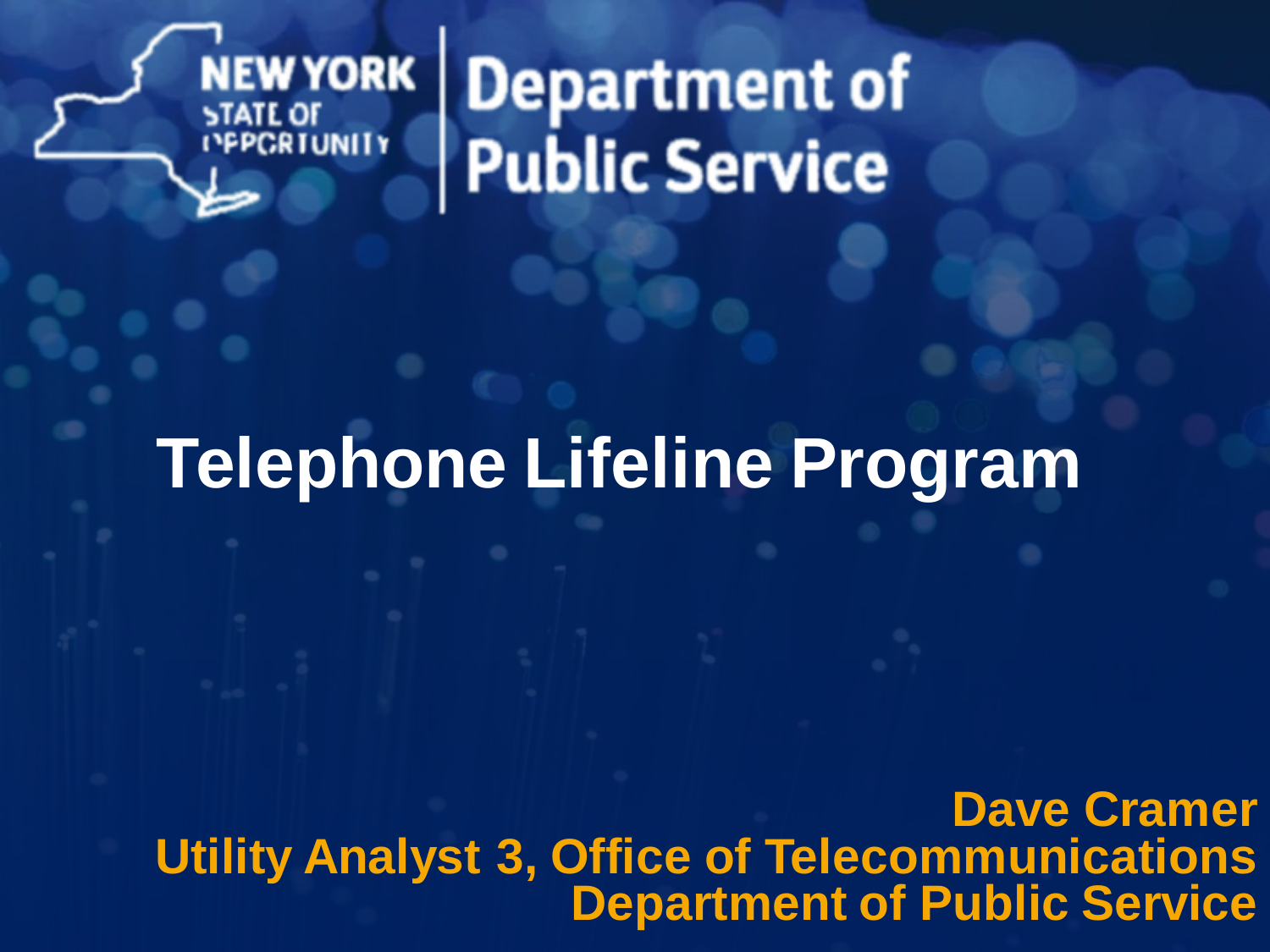

Department of<br>Public Service

#### **Telephone Lifeline Program**

**Dave Cramer Utility Analyst 3, Office of Telecommunications Department of Public Service**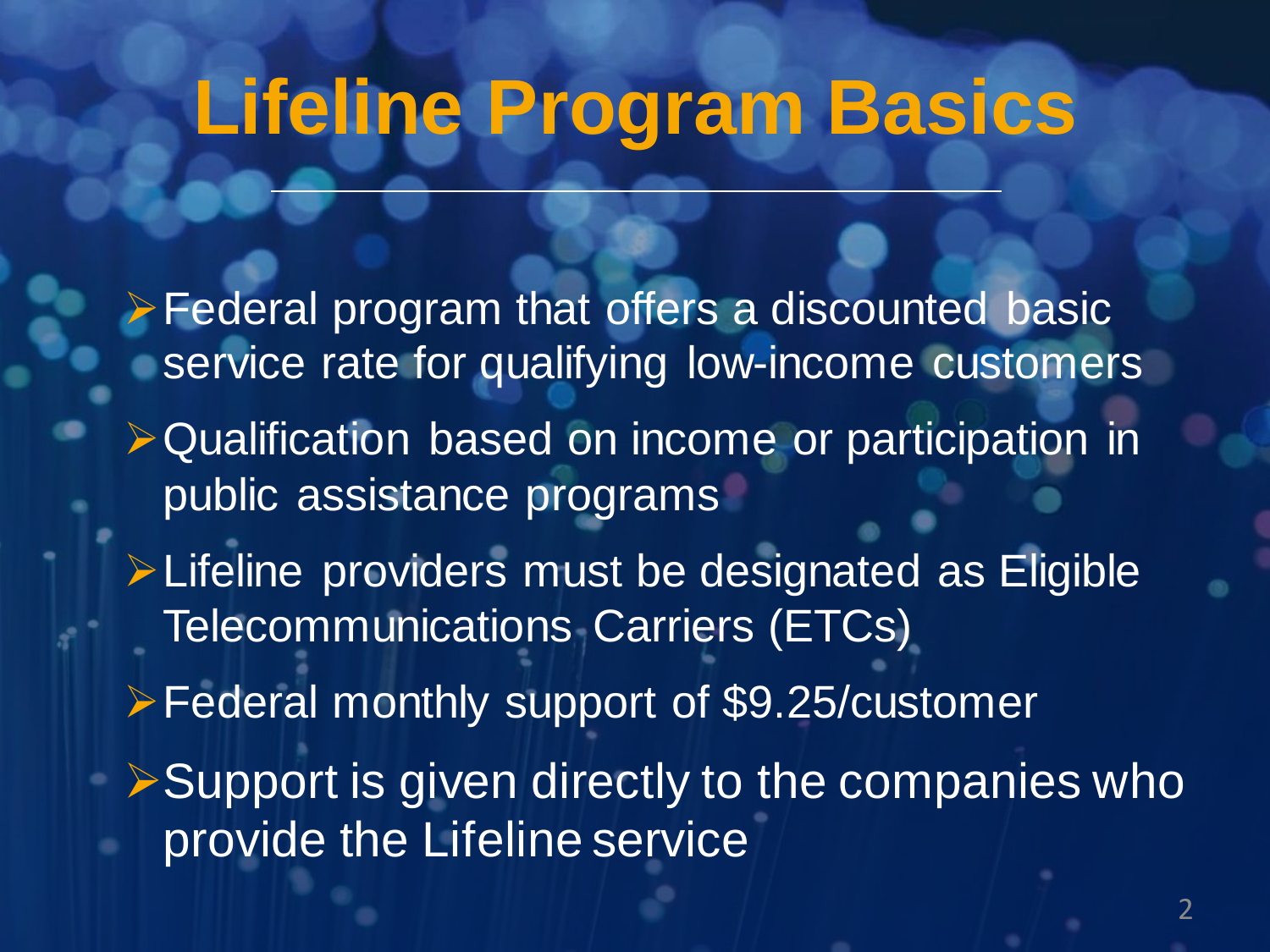### **Lifeline Program Basics**

➢Federal program that offers a discounted basic service rate for qualifying low-income customers ➢Qualification based on income or participation in public assistance programs ➢Lifeline providers must be designated as Eligible Telecommunications Carriers (ETCs) ➢Federal monthly support of \$9.25/customer **► Support is given directly to the companies who** provide the Lifeline service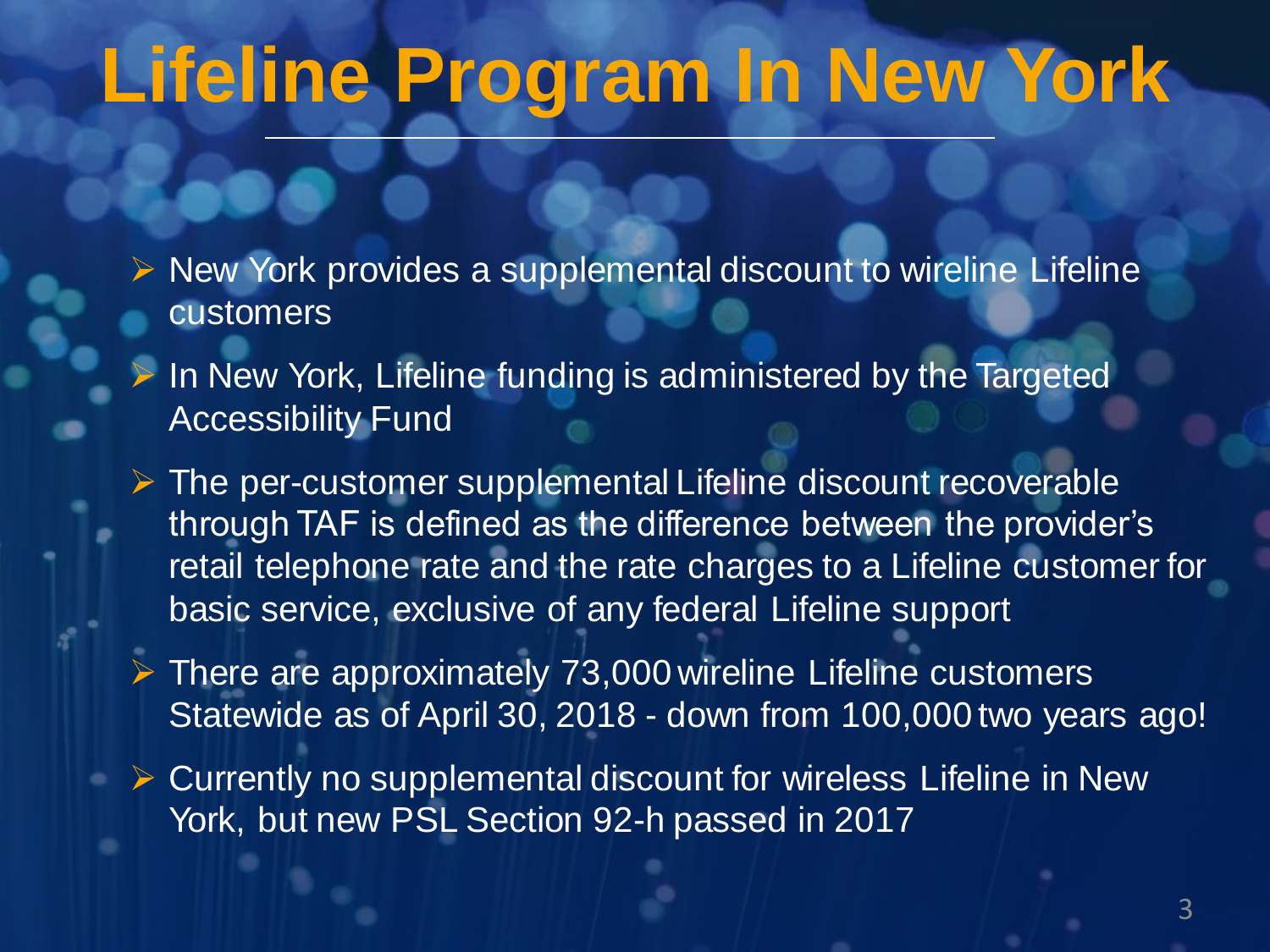# **Lifeline Program In New York**

- ➢ New York provides a supplemental discount to wireline Lifeline customers
	- In New York, Lifeline funding is administered by the Targeted Accessibility Fund
- $\triangleright$  The per-customer supplemental Lifeline discount recoverable through TAF is defined as the difference between the provider's retail telephone rate and the rate charges to a Lifeline customer for basic service, exclusive of any federal Lifeline support
- ➢ There are approximately 73,000 wireline Lifeline customers Statewide as of April 30, 2018 - down from 100,000 two years ago!
- ➢ Currently no supplemental discount for wireless Lifeline in New York, but new PSL Section 92-h passed in 2017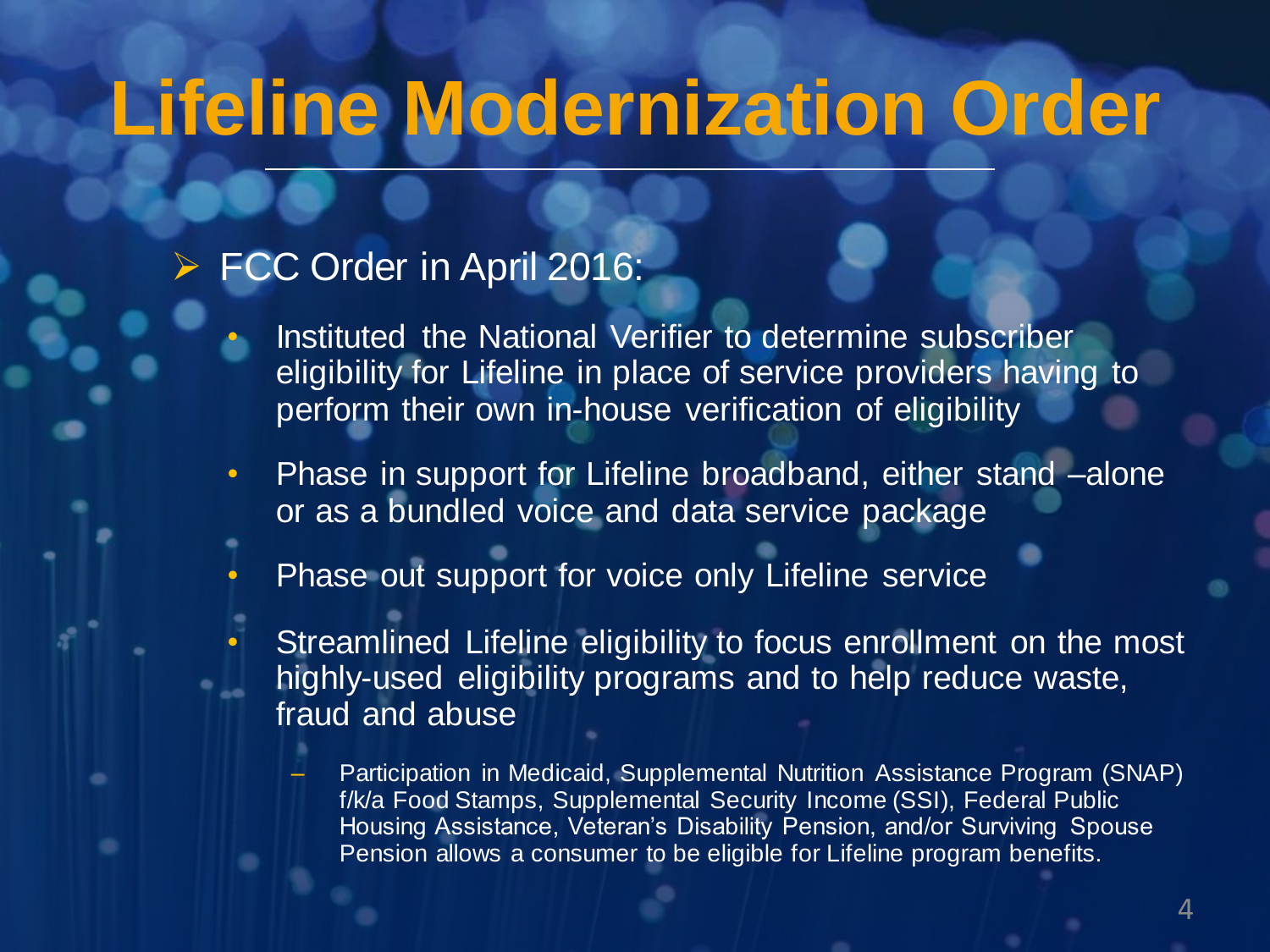# **Lifeline Modernization Order**

#### FCC Order in April 2016:

- Instituted the National Verifier to determine subscriber eligibility for Lifeline in place of service providers having to perform their own in-house verification of eligibility
- Phase in support for Lifeline broadband, either stand -alone or as a bundled voice and data service package
- Phase out support for voice only Lifeline service
	- Streamlined Lifeline eligibility to focus enrollment on the most highly-used eligibility programs and to help reduce waste, fraud and abuse
		- Participation in Medicaid, Supplemental Nutrition Assistance Program (SNAP) f/k/a Food Stamps, Supplemental Security Income (SSI), Federal Public Housing Assistance, Veteran's Disability Pension, and/or Surviving Spouse Pension allows a consumer to be eligible for Lifeline program benefits.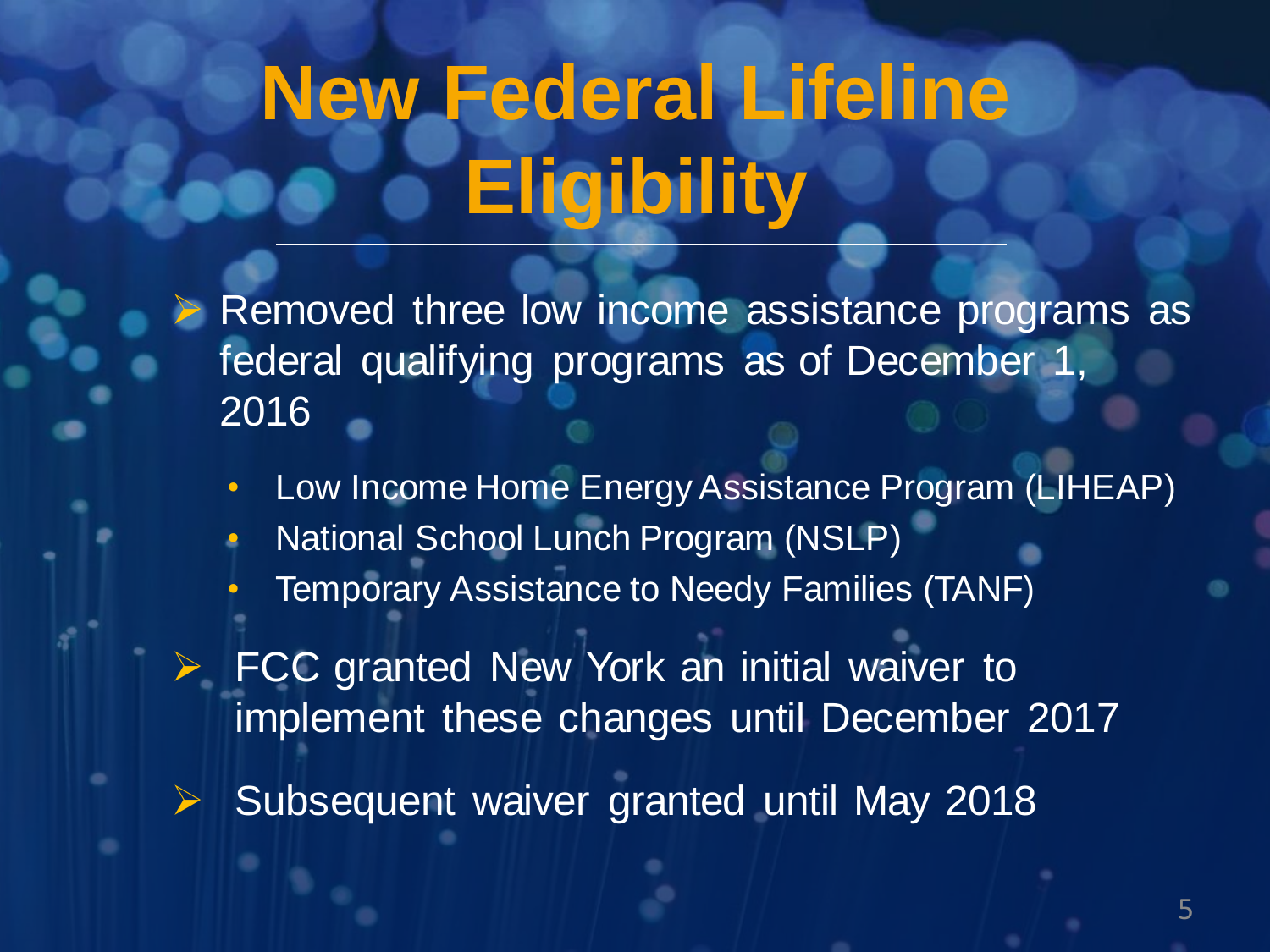# **New Federal Lifeline Eligibility**

Removed three low income assistance programs as federal qualifying programs as of December 1, 2016

- Low Income Home Energy Assistance Program (LIHEAP)
- National School Lunch Program (NSLP)
	- Temporary Assistance to Needy Families (TANF)

FCC granted New York an initial waiver to implement these changes until December 2017

➢ Subsequent waiver granted until May 2018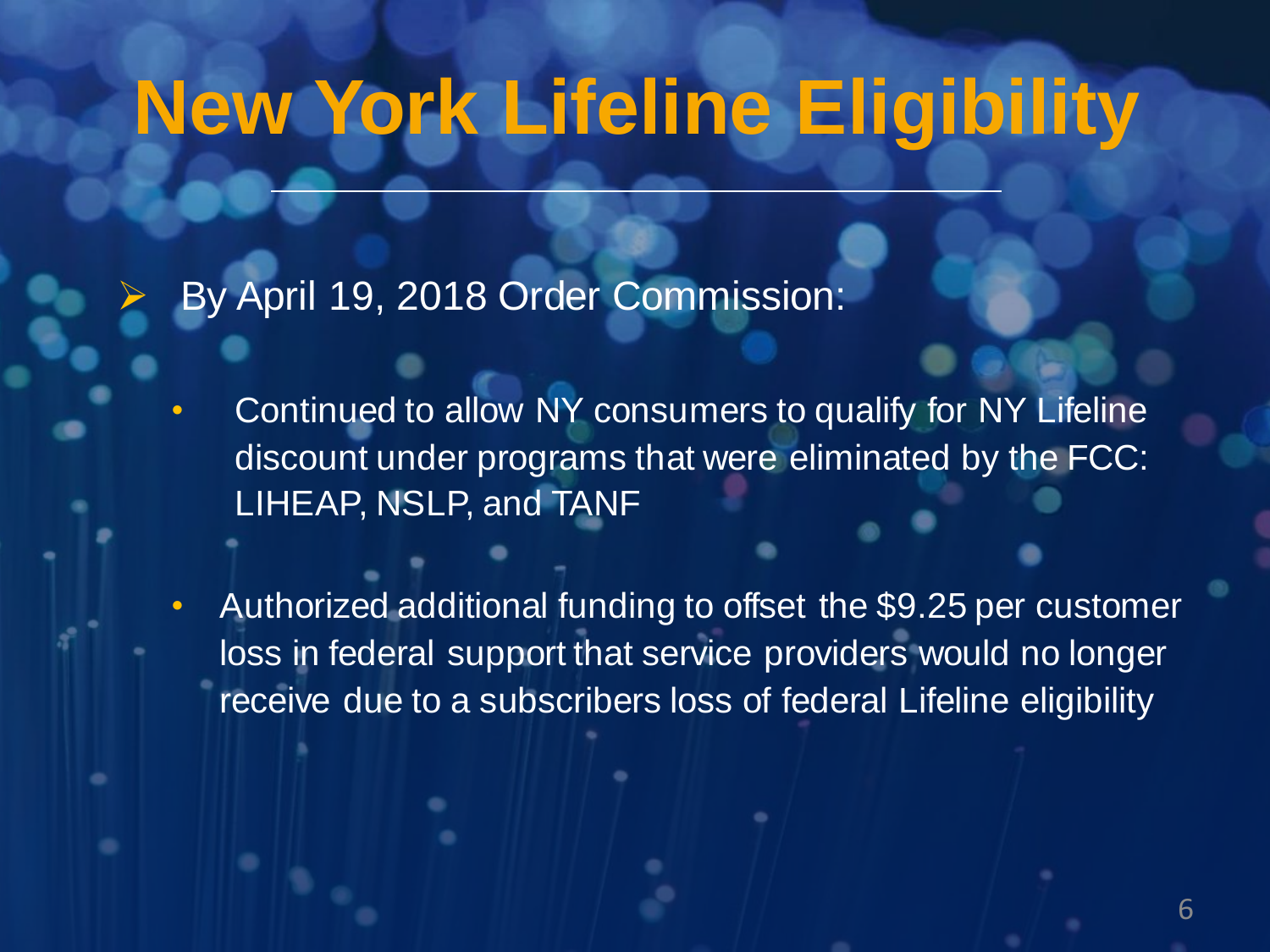# **New York Lifeline Eligibility**

➢ By April 19, 2018 Order Commission:

- Continued to allow NY consumers to qualify for NY Lifeline discount under programs that were eliminated by the FCC: LIHEAP, NSLP, and TANF
- Authorized additional funding to offset the \$9.25 per customer loss in federal support that service providers would no longer receive due to a subscribers loss of federal Lifeline eligibility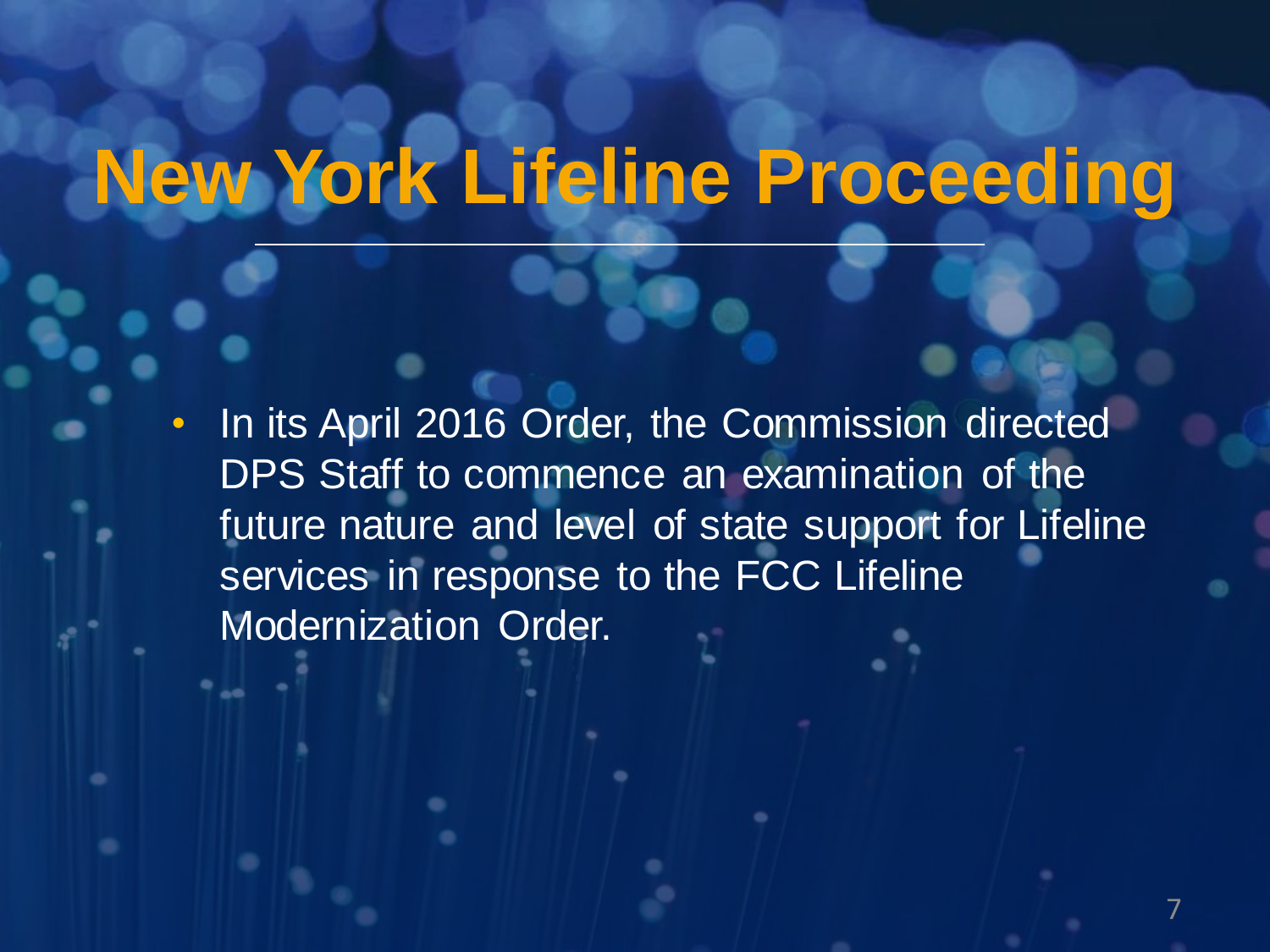# **New York Lifeline Proceeding**

• In its April 2016 Order, the Commission directed DPS Staff to commence an examination of the future nature and level of state support for Lifeline services in response to the FCC Lifeline Modernization Order.